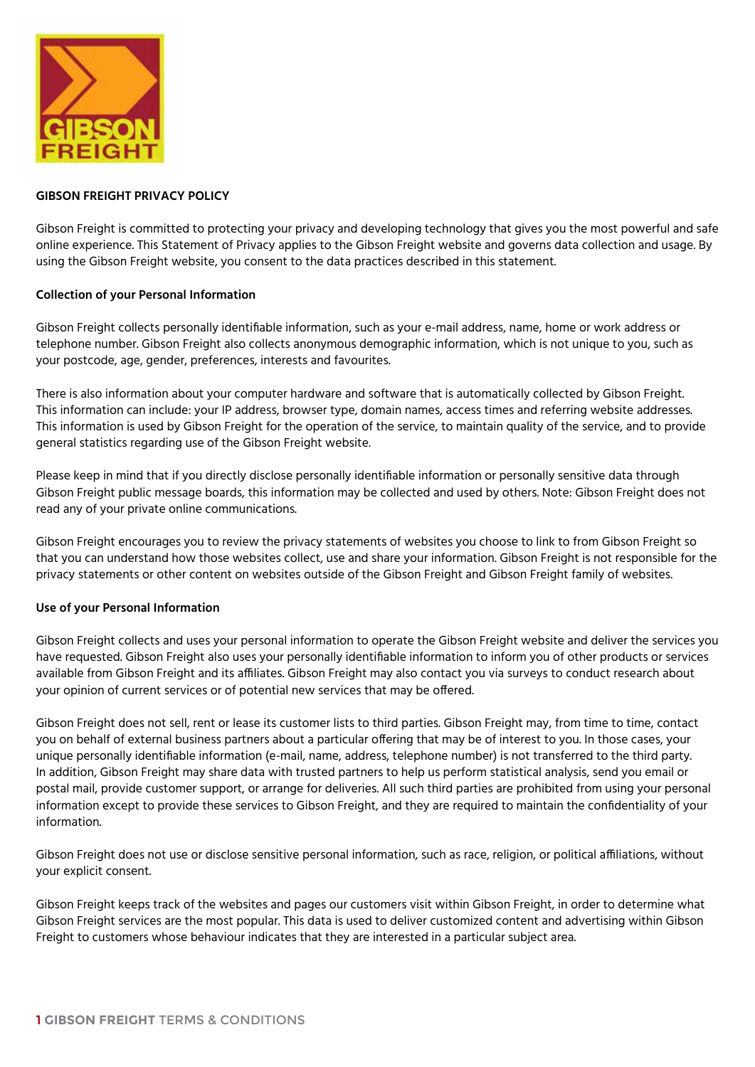

# **GIBSON FREIGHT PRIVACY POLICY**

Gibson Freight is committed to protecting your privacy and developing technology that gives you the most powerful and safe online experience. This Statement of Privacy applies to the Gibson Freight website and governs data collection and usage. By using the Gibson Freight website, you consent to the data practices described in this statement.

# **Collection of your Personal Information**

Gibson Freight collects personally identifiable information, such as your e-mail address, name, home or work address or telephone number. Gibson Freight also collects anonymous demographic information, which is not unique to you, such as your postcode, age, gender, preferences, interests and favourites.

There is also information about your computer hardware and software that is automatically collected by Gibson Freight. This information can include: your IP address, browser type, domain names, access times and referring website addresses. This information is used by Gibson Freight for the operation of the service, to maintain quality of the service, and to provide general statistics regarding use of the Gibson Freight website.

Please keep in mind that if you directly disclose personally identifiable information or personally sensitive data through Gibson Freight public message boards, this information may be collected and used by others. Note: Gibson Freight does not read any of your private online communications.

Gibson Freight encourages you to review the privacy statements of websites you choose to link to from Gibson Freight so that you can understand how those websites collect, use and share your information. Gibson Freight is not responsible for the privacy statements or other content on websites outside of the Gibson Freight and Gibson Freight family of websites.

# **Use of your Personal Information**

Gibson Freight collects and uses your personal information to operate the Gibson Freight website and deliver the services you have requested. Gibson Freight also uses your personally identifiable information to inform you of other products or services available from Gibson Freight and its affiliates. Gibson Freight may also contact you via surveys to conduct research about your opinion of current services or of potential new services that may be offered.

Gibson Freight does not sell, rent or lease its customer lists to third parties. Gibson Freight may, from time to time, contact you on behalf of external business partners about a particular offering that may be of interest to you. In those cases, your unique personally identifiable information (e-mail, name, address, telephone number) is not transferred to the third party. In addition, Gibson Freight may share data with trusted partners to help us perform statistical analysis, send you email or postal mail, provide customer support, or arrange for deliveries. All such third parties are prohibited from using your personal information except to provide these services to Gibson Freight, and they are required to maintain the confidentiality of your information.

Gibson Freight does not use or disclose sensitive personal information, such as race, religion, or political affiliations, without your explicit consent.

Gibson Freight keeps track of the websites and pages our customers visit within Gibson Freight, in order to determine what Gibson Freight services are the most popular. This data is used to deliver customized content and advertising within Gibson Freight to customers whose behaviour indicates that they are interested in a particular subject area.